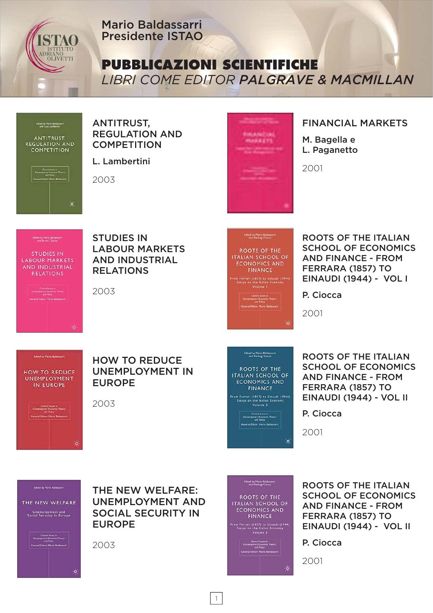

Mario Baldassarri Presidente ISTAO

**PUBBLICAZIONI SCIENTIFICHE**

*LIBRI COME EDITOR PALGRAVE & MACMILLAN*



ANTITRUST, REGULATION AND **COMPETITION** 

L. Lambertini

2003



#### FINANCIAL MARKETS

M. Bagella e L. Paganetto

2001



eral Editor: Mario Baldassam

 $\alpha$ 

油

STUDIES IN LABOUR MARKETS AND INDUSTRIAL RELATIONS

2003



ROOTS OF THE ITALIAN SCHOOL OF ECONOMICS AND FINANCE - FROM FERRARA (1857) TO EINAUDI (1944) - VOL I

P. Ciocca

2001

# Edited by Mario Baldassarri **HOW TO REDUCE UNEMPLOYMENT** IN EUROPE

Control Issue W.<br>Consensorey Economic Theory<br>General Edisor: Mario Baldassary<br>General Edisor: Mario Baldassary

# HOW TO REDUCE UNEMPLOYMENT IN EUROPE

2003

# **Edited by Mario Baldassarri,**<br>and Pierluigi Clocca

ROOTS OF THE **ITALIAN SCHOOL OF ECONOMICS AND FINANCE** 

From Ferrari (1857) to Einaudi (1944)<br>Essays on the Italian Economy<br>Volume 2

Central Issues in<br>Contemporary Economic Theory<br>and Policy<br>General Editor: Mario Baldassarri

ROOTS OF THE ITALIAN SCHOOL OF ECONOMICS AND FINANCE - FROM FERRARA (1857) TO EINAUDI (1944) - VOL II

P. Ciocca

2001

₩

₩

THE NEW WELFARE Unemployment and<br>Social Security in Europe

**Education Mario Baldassarri** 

# Central Issues in<br>temporary Economic Theory<br>and Editor: Mario Baldassarr<br>ral Editor: Mario Baldassarr ₩

THE NEW WELFARE: UNEMPLOYMENT AND SOCIAL SECURITY IN EUROPE

2003



**ROOTS OF THE ITALIAN SCHOOL OF ECONOMICS AND FINANCE** m Ferrari (1857) to Einaudi (1944)<br>Essays on the Italian Economy<br>Yolume 3

Central Issues in<br>Contemporary Economic Theory<br>General Edicor: Mario Baldassarri<br>General Edicor: Mario Baldassarri

ROOTS OF THE ITALIAN SCHOOL OF ECONOMICS AND FINANCE - FROM FERRARA (1857) TO EINAUDI (1944) - VOL II

P. Ciocca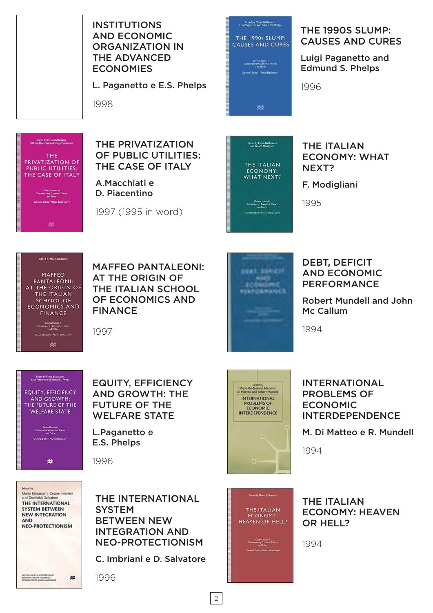

INSTITUTIONS AND ECONOMIC ORGANIZATION IN THE ADVANCED **ECONOMIES** 

L. Paganetto e E.S. Phelps

1998



THE 1990S SLUMP: CAUSES AND CURES

Luigi Paganetto and Edmund S. Phelps

1996

Edited by Mario Baldassarm,<br>Alfredo Macchiati and Diego Piacencino THE **PRIVATIZATION OF PUBLIC UTILITIES:** THE CASE OF ITALY Central Issues in<br>Comemporary Economic Theory<br>and Policy .<br>ral Editor: Mario Baldassarri

OF PUBLIC UTILITIES: THE CASE OF ITALY A.Macchiati e

THE PRIVATIZATION

D. Piacentino

1997 (1995 in word)



#### THE ITALIAN ECONOMY: WHAT NEXT?

F. Modigliani

1995



MAFFEO PANTALEONI: AT THE ORIGIN OF THE ITALIAN SCHOOL OF ECONOMICS AND FINANCE

1997



DEBT, DEFICIT AND ECONOMIC PERFORMANCE

Robert Mundell and John Mc Callum

1994



Edited by Mario Baldassarri,<br>Luisi Pazanetto and Edmund S. Phelps

Control Linux in<br>Contemporary Economic Theory<br>and Policy

.<br>Ind Filter Marie Raldsstam

舛

EQUITY, EFFICIENCY AND GROWTH: THE FUTURE OF THE WELFARE STATE

L.Paganetto e E.S. Phelps

1996



THE INTERNATIONAL **SYSTEM** BETWEEN NEW INTEGRATION AND NEO-PROTECTIONISM

C. Imbriani e D. Salvatore

1996



#### INTERNATIONAL PROBLEMS OF ECONOMIC INTERDEPENDENCE

M. Di Matteo e R. Mundell

1994



THE ITALIAN ECONOMY: HEAVEN OR HELL?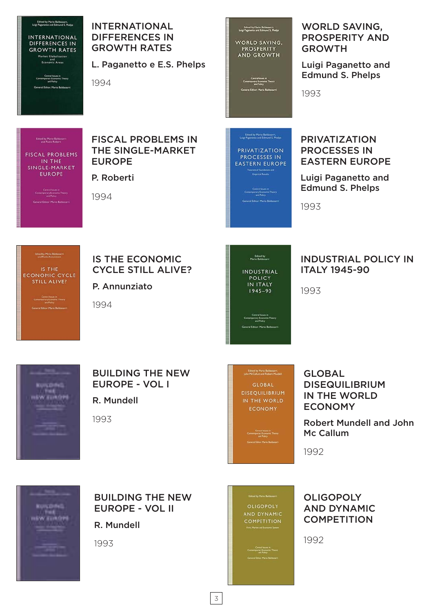

**INTERNATIONAL** DIFFERENCES IN **GROWTH RATES** Market Globalization<br>and<br>Economic Areas

> Central Issues in<br>Comemporary Economic Theory<br>and Policy eral Editor: Mario Raldacescri

INTERNATIONAL DIFFERENCES IN GROWTH RATES

L. Paganetto e E.S. Phelps

1994

#### FISCAL PROBLEMS IN THE SINGLE-MARKET EUROPE

P. Roberti

Central Issues of<br>Comemporary Economic Theory<br>and Police General Editor Mano Baldassam

Edited by Mario Baldassam

**FISCAL PROBLEMS** 

IN THE

SINGLE-MARKET

**EUROPE** 

1994

Central finant in<br>amportary Economic Theory<br>and Palicy el<br>Editor: Mario Balda -<br>Edited by Mario Baldassarri<br>Luin Paranetto and Edmund S. Phelos

Edited by Mario Baldassarry<br>Lugi Paganetto and Edmund S, Phelps

WORLD SAVING,

PROSPERITY

**AND GROWTH** 

**PRIVATIZATION** PROCESSES IN **EASTERN EUROPE** orestest Foundation<br>Empirical Results

Control future in<br>Contemporary Economic Theory<br>and Policy ral Editor: Mario Baldassarri WORLD SAVING, PROSPERITY AND GROWTH

Luigi Paganetto and Edmund S. Phelps

1993

#### PRIVATIZATION PROCESSES IN EASTERN EUROPE

Luigi Paganetto and Edmund S. Phelps

1993

Edited by Mario Baldassarri

IS THE ECONOMIC CYCLE STILL ALIVE?

Central Issues in<br>Commonstry Economic Theory **General Editor: Mario Baldassarr**  IS THE ECONOMIC CYCLE STILL ALIVE?

P. Annunziato

1994



# INDUSTRIAL POLICY IN ITALY 1945-90

1993



# BUILDING THE NEW EUROPE - VOL I

R. Mundell

1993

-<br>Edned by Mario Baldassarri,<br>John McCallum and Robert Mundell **GLOBAL DISEQUILIBRIUM** IN THE WORLD ECONOMY

Central Brians in<br>emportary Economic Theory<br>end Policy

GLOBAL DISEQUILIBRIUM IN THE WORLD ECONOMY

Robert Mundell and John Mc Callum

1992



BUILDING THE NEW EUROPE - VOL II

R. Mundell

1993



**OLIGOPOLY** AND DYNAMIC **COMPETITION**